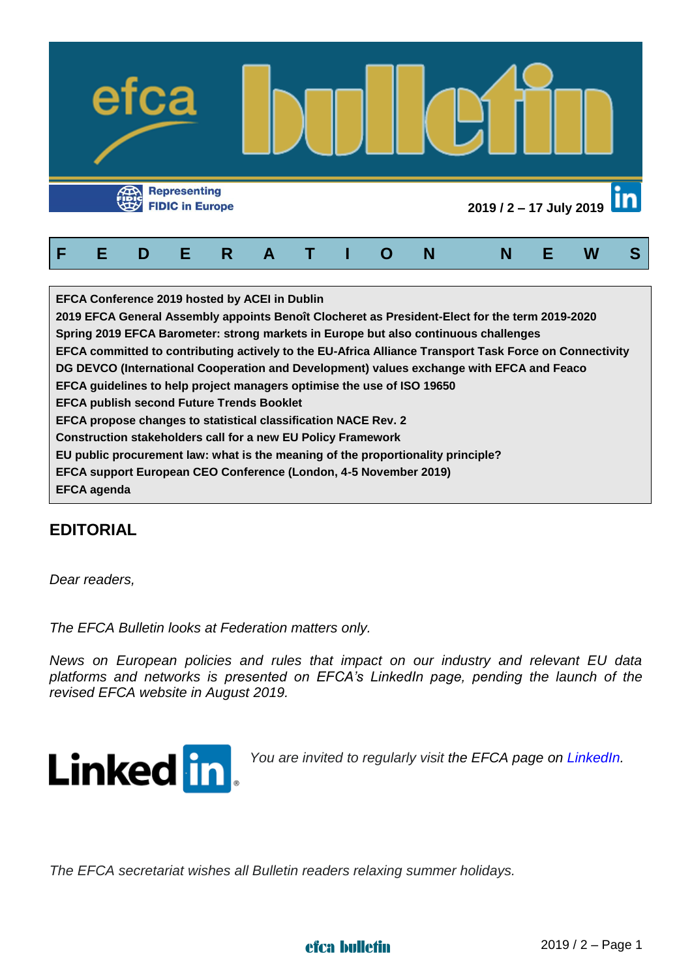

| <b>EFCA Conference 2019 hosted by ACEI in Dublin</b>                                                   |
|--------------------------------------------------------------------------------------------------------|
| 2019 EFCA General Assembly appoints Benoît Clocheret as President-Elect for the term 2019-2020         |
| Spring 2019 EFCA Barometer: strong markets in Europe but also continuous challenges                    |
| EFCA committed to contributing actively to the EU-Africa Alliance Transport Task Force on Connectivity |
| DG DEVCO (International Cooperation and Development) values exchange with EFCA and Feaco               |
| EFCA guidelines to help project managers optimise the use of ISO 19650                                 |
| <b>EFCA publish second Future Trends Booklet</b>                                                       |
| EFCA propose changes to statistical classification NACE Rev. 2                                         |
| <b>Construction stakeholders call for a new EU Policy Framework</b>                                    |
| EU public procurement law: what is the meaning of the proportionality principle?                       |
| EFCA support European CEO Conference (London, 4-5 November 2019)                                       |
| <b>EFCA agenda</b>                                                                                     |

# **EDITORIAL**

*Dear readers,*

*The EFCA Bulletin looks at Federation matters only.*

*News on European policies and rules that impact on our industry and relevant EU data platforms and networks is presented on EFCA's LinkedIn page, pending the launch of the revised EFCA website in August 2019.*



*You are invited to regularly visit the EFCA page on [LinkedIn.](https://www.linkedin.com/company/efca---european-federation-of-engineering-consultancy-associations/?viewAsMember=true)*

*The EFCA secretariat wishes all Bulletin readers relaxing summer holidays.*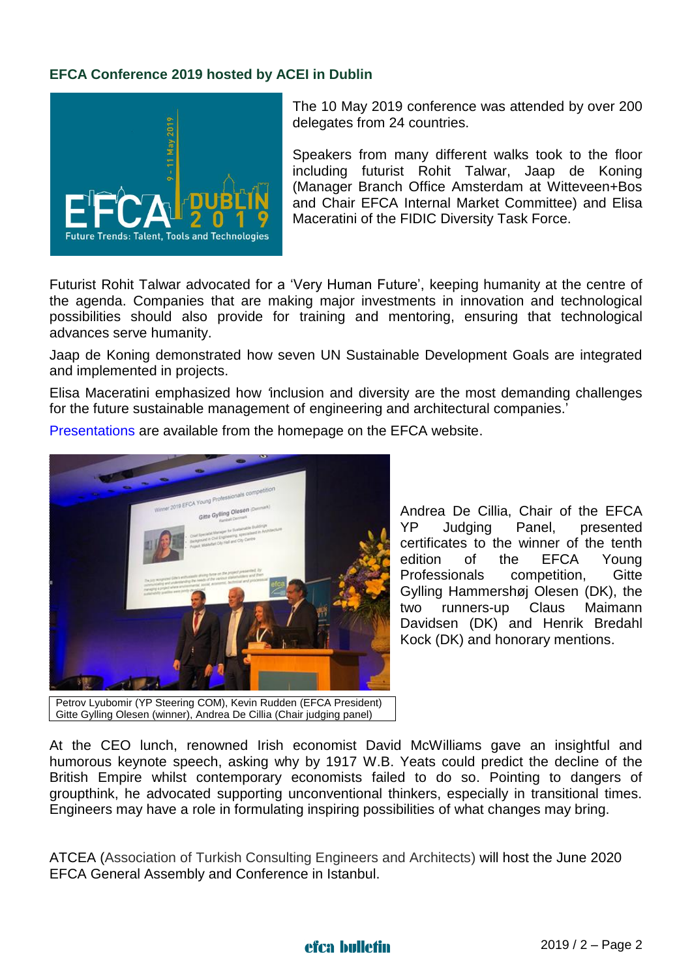#### **EFCA Conference 2019 hosted by ACEI in Dublin**



The 10 May 2019 conference was attended by over 200 delegates from 24 countries.

Speakers from many different walks took to the floor including futurist Rohit Talwar, Jaap de Koning (Manager Branch Office Amsterdam at Witteveen+Bos and Chair EFCA Internal Market Committee) and Elisa Maceratini of the FIDIC Diversity Task Force.

Futurist Rohit Talwar advocated for a 'Very Human Future', keeping humanity at the centre of the agenda. Companies that are making major investments in innovation and technological possibilities should also provide for training and mentoring, ensuring that technological advances serve humanity.

Jaap de Koning demonstrated how seven UN Sustainable Development Goals are integrated and implemented in projects.

Elisa Maceratini emphasized how *'*inclusion and diversity are the most demanding challenges for the future sustainable management of engineering and architectural companies.'

[Presentations](https://www.efcadublin2019.com/presentations) are available from the homepage on the EFCA website.



Petrov Lyubomir (YP Steering COM), Kevin Rudden (EFCA President) Gitte Gylling Olesen (winner), Andrea De Cillia (Chair judging panel)

Andrea De Cillia, Chair of the EFCA YP Judging Panel, presented certificates to the winner of the tenth edition of the EFCA Young Professionals competition, Gitte Gylling Hammershøj Olesen (DK), the two runners-up Claus Maimann Davidsen (DK) and Henrik Bredahl Kock (DK) and honorary mentions.

At the CEO lunch, renowned Irish economist David McWilliams gave an insightful and humorous keynote speech, asking why by 1917 W.B. Yeats could predict the decline of the British Empire whilst contemporary economists failed to do so. Pointing to dangers of groupthink, he advocated supporting unconventional thinkers, especially in transitional times. Engineers may have a role in formulating inspiring possibilities of what changes may bring.

ATCEA (Association of Turkish Consulting Engineers and Architects) will host the June 2020 EFCA General Assembly and Conference in Istanbul.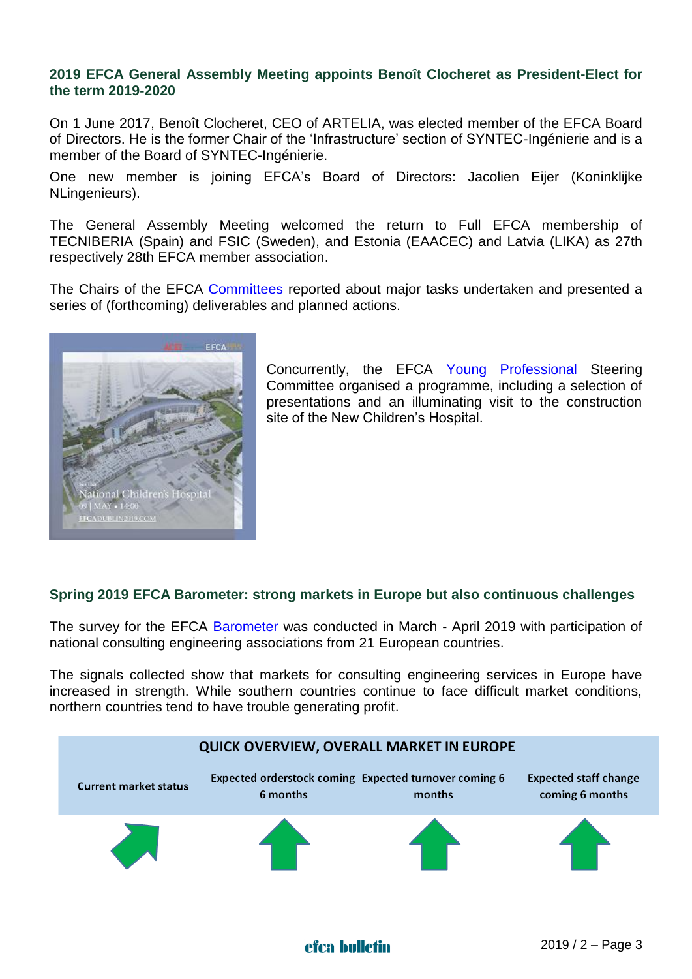#### **2019 EFCA General Assembly Meeting appoints Benoît Clocheret as President-Elect for the term 2019-2020**

On 1 June 2017, Benoît Clocheret, CEO of ARTELIA, was elected member of the EFCA Board of Directors. He is the former Chair of the 'Infrastructure' section of SYNTEC-Ingénierie and is a member of the Board of SYNTEC-Ingénierie.

One new member is joining EFCA's Board of Directors: Jacolien Eijer (Koninklijke NLingenieurs).

The General Assembly Meeting welcomed the return to Full EFCA membership of TECNIBERIA (Spain) and FSIC (Sweden), and Estonia (EAACEC) and Latvia (LIKA) as 27th respectively 28th EFCA member association.

The Chairs of the EFCA [Committees](http://www.efca.be/CommitteesWorkingGroups/CWG.aspx) reported about major tasks undertaken and presented a series of (forthcoming) deliverables and planned actions.



Concurrently, the EFCA [Young Professional](http://www.efca.be/YPs.aspx) Steering Committee organised a programme, including a selection of presentations and an illuminating visit to the construction site of the New Children's Hospital.

## **Spring 2019 EFCA Barometer: strong markets in Europe but also continuous challenges**

The survey for the EFCA [Barometer](http://www.efcanet.org/Portals/EFCA/EFCA%20files/PDF/Barometer%20reports/EFCA%20Barometer_Spring%202019.pdf) was conducted in March - April 2019 with participation of national consulting engineering associations from 21 European countries.

The signals collected show that markets for consulting engineering services in Europe have increased in strength. While southern countries continue to face difficult market conditions, northern countries tend to have trouble generating profit.

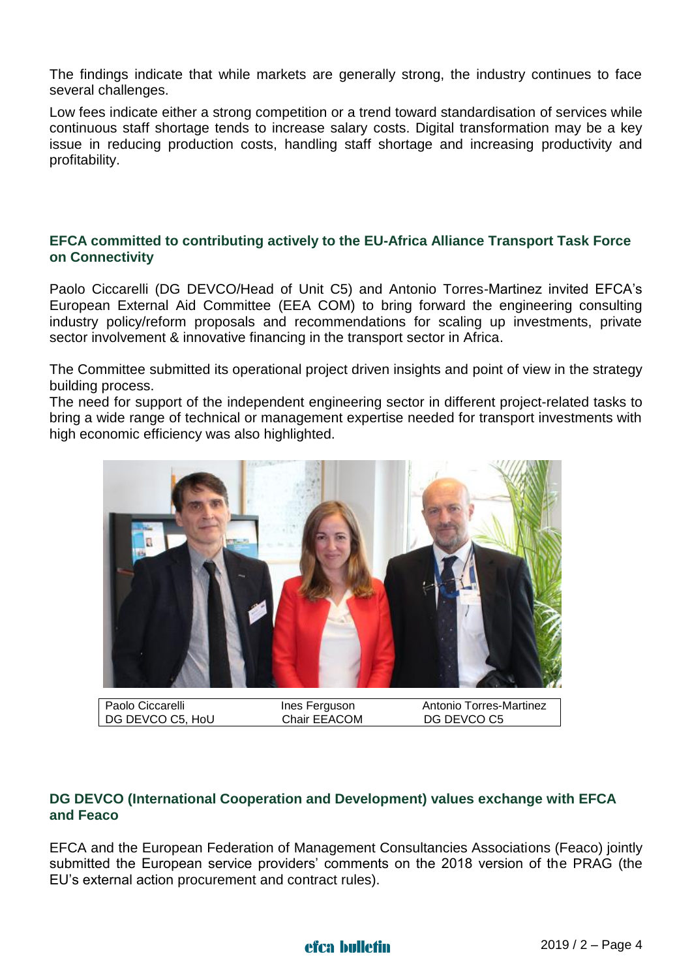The findings indicate that while markets are generally strong, the industry continues to face several challenges.

Low fees indicate either a strong competition or a trend toward standardisation of services while continuous staff shortage tends to increase salary costs. Digital transformation may be a key issue in reducing production costs, handling staff shortage and increasing productivity and profitability.

#### **EFCA committed to contributing actively to the EU-Africa Alliance Transport Task Force on Connectivity**

Paolo Ciccarelli (DG DEVCO/Head of Unit C5) and Antonio Torres-Martinez invited EFCA's European External Aid Committee (EEA COM) to bring forward the engineering consulting industry policy/reform proposals and recommendations for scaling up investments, private sector involvement & innovative financing in the transport sector in Africa.

The Committee submitted its operational project driven insights and point of view in the strategy building process.

The need for support of the independent engineering sector in different project-related tasks to bring a wide range of technical or management expertise needed for transport investments with high economic efficiency was also highlighted.



## **DG DEVCO (International Cooperation and Development) values exchange with EFCA and Feaco**

EFCA and the European Federation of Management Consultancies Associations (Feaco) jointly submitted the European service providers' comments on the 2018 version of the PRAG (the EU's external action procurement and contract rules).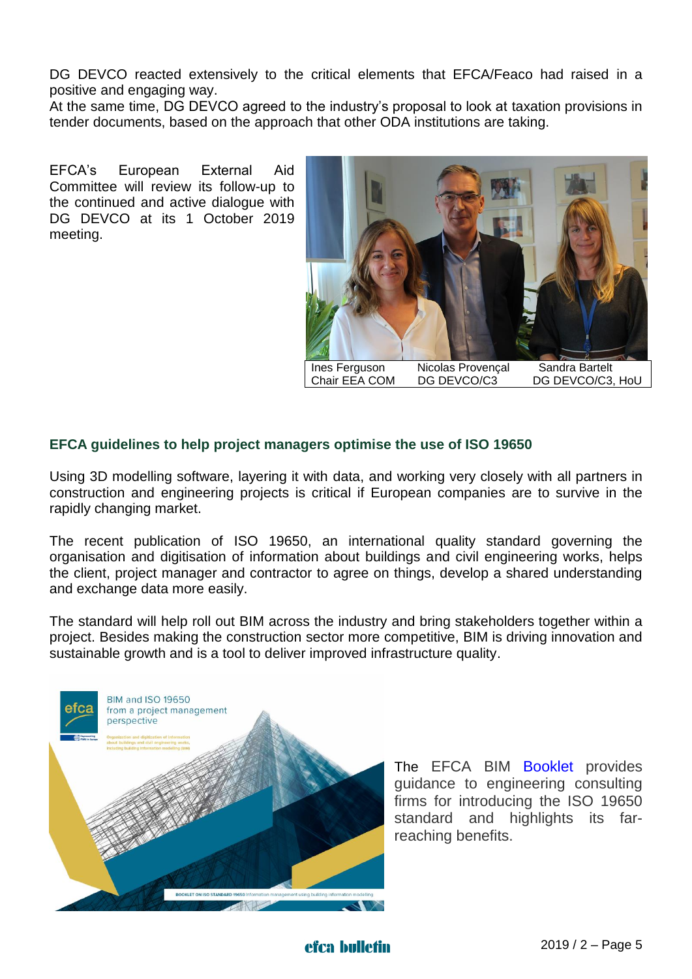DG DEVCO reacted extensively to the critical elements that EFCA/Feaco had raised in a positive and engaging way.

At the same time, DG DEVCO agreed to the industry's proposal to look at taxation provisions in tender documents, based on the approach that other ODA institutions are taking.

EFCA's European External Aid Committee will review its follow-up to the continued and active dialogue with DG DEVCO at its 1 October 2019 meeting.



## **EFCA guidelines to help project managers optimise the use of ISO 19650**

Using 3D modelling software, layering it with data, and working very closely with all partners in construction and engineering projects is critical if European companies are to survive in the rapidly changing market.

The recent publication of ISO 19650, an international quality standard governing the organisation and digitisation of information about buildings and civil engineering works, helps the client, project manager and contractor to agree on things, develop a shared understanding and exchange data more easily.

The standard will help roll out BIM across the industry and bring stakeholders together within a project. Besides making the construction sector more competitive, BIM is driving innovation and sustainable growth and is a tool to deliver improved infrastructure quality.



The EFCA BIM [Booklet](http://www.efca.be/News/Detail.aspx?id=4097) provides guidance to engineering consulting firms for introducing the ISO 19650 standard and highlights its farreaching benefits.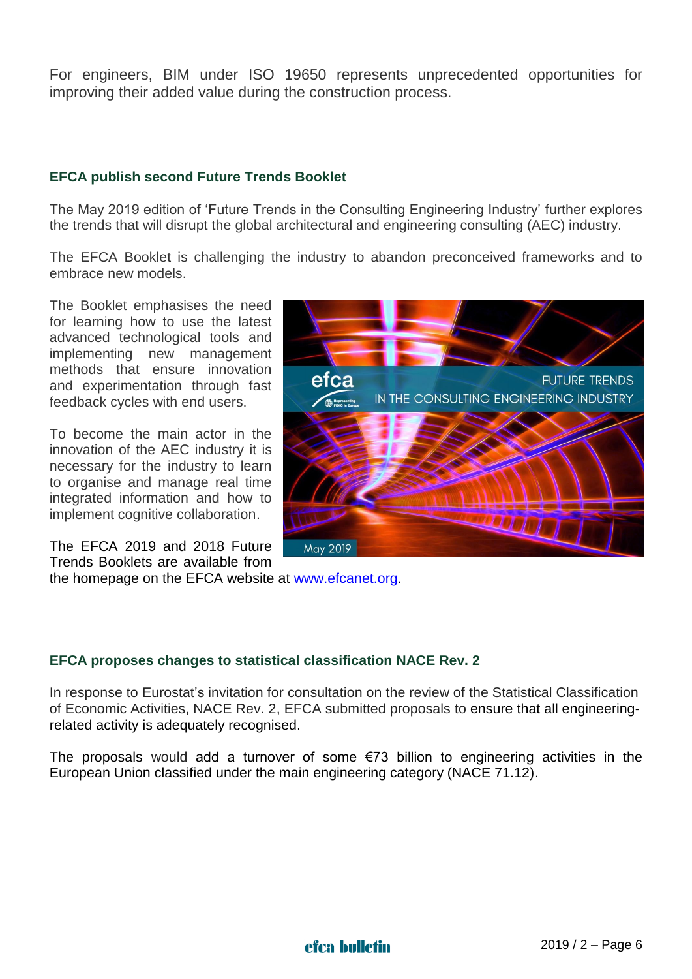For engineers, BIM under ISO 19650 represents unprecedented opportunities for improving their added value during the construction process.

## **EFCA publish second Future Trends Booklet**

The May 2019 edition of 'Future Trends in the Consulting Engineering Industry' further explores the trends that will disrupt the global architectural and engineering consulting (AEC) industry.

The EFCA Booklet is challenging the industry to abandon preconceived frameworks and to embrace new models.

The Booklet emphasises the need for learning how to use the latest advanced technological tools and implementing new management methods that ensure innovation and experimentation through fast feedback cycles with end users.

To become the main actor in the innovation of the AEC industry it is necessary for the industry to learn to organise and manage real time integrated information and how to implement cognitive collaboration.

The EFCA 2019 and 2018 Future Trends Booklets are available from



the homepage on the EFCA website at [www.efcanet.org.](http://www.efcanet.org/)

## **EFCA proposes changes to statistical classification NACE Rev. 2**

In response to Eurostat's invitation for consultation on the review of the Statistical Classification of Economic Activities, NACE Rev. 2, EFCA submitted proposals to ensure that all engineeringrelated activity is adequately recognised.

The proposals would add a turnover of some  $\epsilon$ 73 billion to engineering activities in the European Union classified under the main engineering category (NACE 71.12).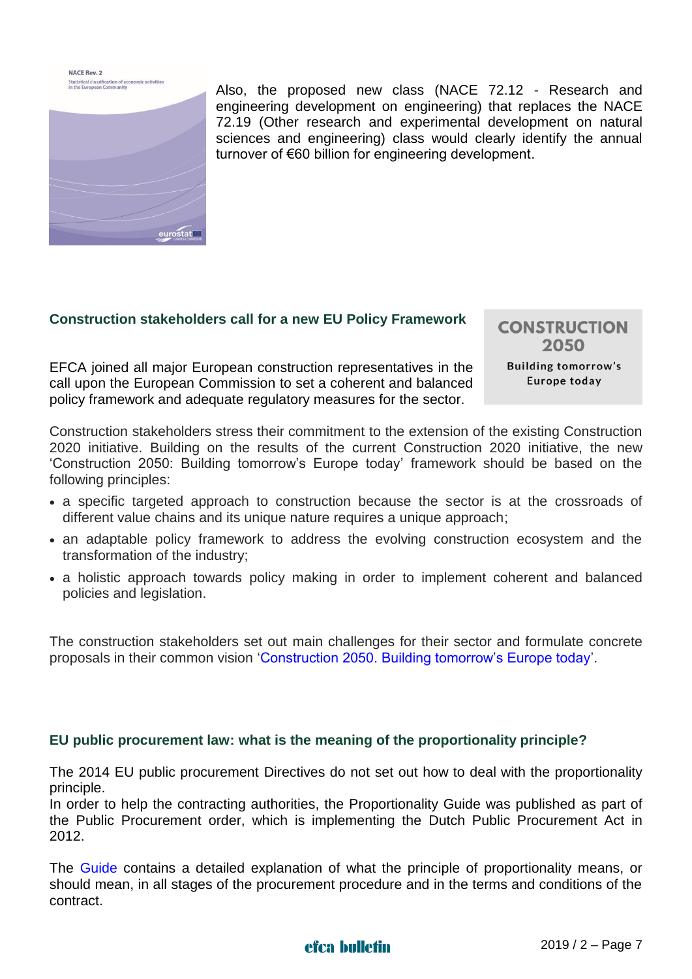NACE Rev. 2 **Statistical classification of economic activities**<br>in the European Community



Also, the proposed new class (NACE 72.12 - Research and engineering development on engineering) that replaces the NACE 72.19 (Other research and experimental development on natural sciences and engineering) class would clearly identify the annual turnover of €60 billion for engineering development.

#### **Construction stakeholders call for a new EU Policy Framework**

EFCA joined all major European construction representatives in the call upon the European Commission to set a coherent and balanced policy framework and adequate regulatory measures for the sector.

**CONSTRUCTION** 2050 **Building tomorrow's** Europe today

Construction stakeholders stress their commitment to the extension of the existing Construction 2020 initiative. Building on the results of the current Construction 2020 initiative, the new 'Construction 2050: Building tomorrow's Europe today' framework should be based on the following principles:

- a specific targeted approach to construction because the sector is at the crossroads of different value chains and its unique nature requires a unique approach;
- an adaptable policy framework to address the evolving construction ecosystem and the transformation of the industry;
- a holistic approach towards policy making in order to implement coherent and balanced policies and legislation.

The construction stakeholders set out main challenges for their sector and formulate concrete proposals in their common vision ['Construction 2050. Building tomorrow's Europe today'](http://www.efcanet.org/Portals/EFCA/EFCA%20files/PDF/Construction%202050%20Paper%20-%20Final.pdf).

#### **EU public procurement law: what is the meaning of the proportionality principle?**

The 2014 EU public procurement Directives do not set out how to deal with the proportionality principle.

In order to help the contracting authorities, the Proportionality Guide was published as part of the Public Procurement order, which is implementing the Dutch Public Procurement Act in 2012.

The [Guide](https://www.ibr.nl/publicaties/aanbestedingsrecht-publicaties/proportionality-guide/) contains a detailed explanation of what the principle of proportionality means, or should mean, in all stages of the procurement procedure and in the terms and conditions of the contract.